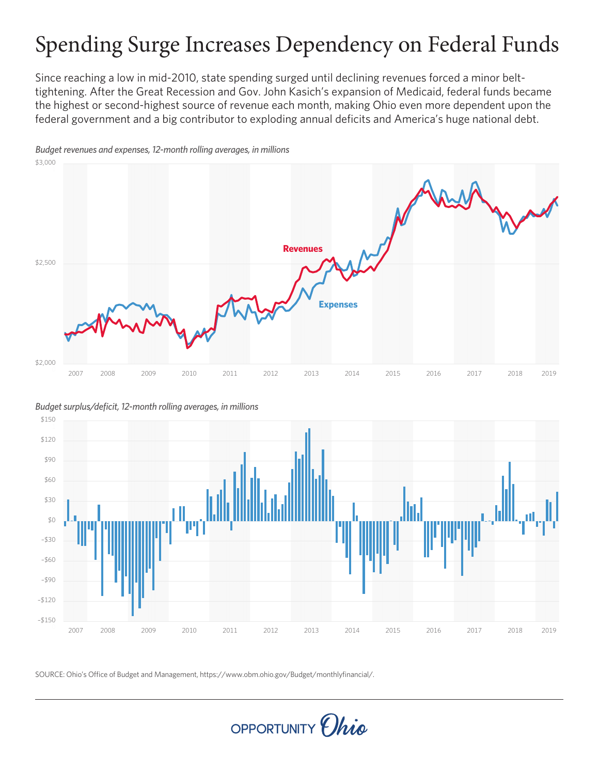# Spending Surge Increases Dependency on Federal Funds

Since reaching a low in mid-2010, state spending surged until declining revenues forced a minor belttightening. After the Great Recession and Gov. John Kasich's expansion of Medicaid, federal funds became the highest or second-highest source of revenue each month, making Ohio even more dependent upon the federal government and a big contributor to exploding annual deficits and America's huge national debt.



*Budget revenues and expenses, 12-month rolling averages, in millions*

*Budget surplus/deficit, 12-month rolling averages, in millions*



SOURCE: Ohio's Office of Budget and Management, https://www.obm.ohio.gov/Budget/monthlyfinancial/.